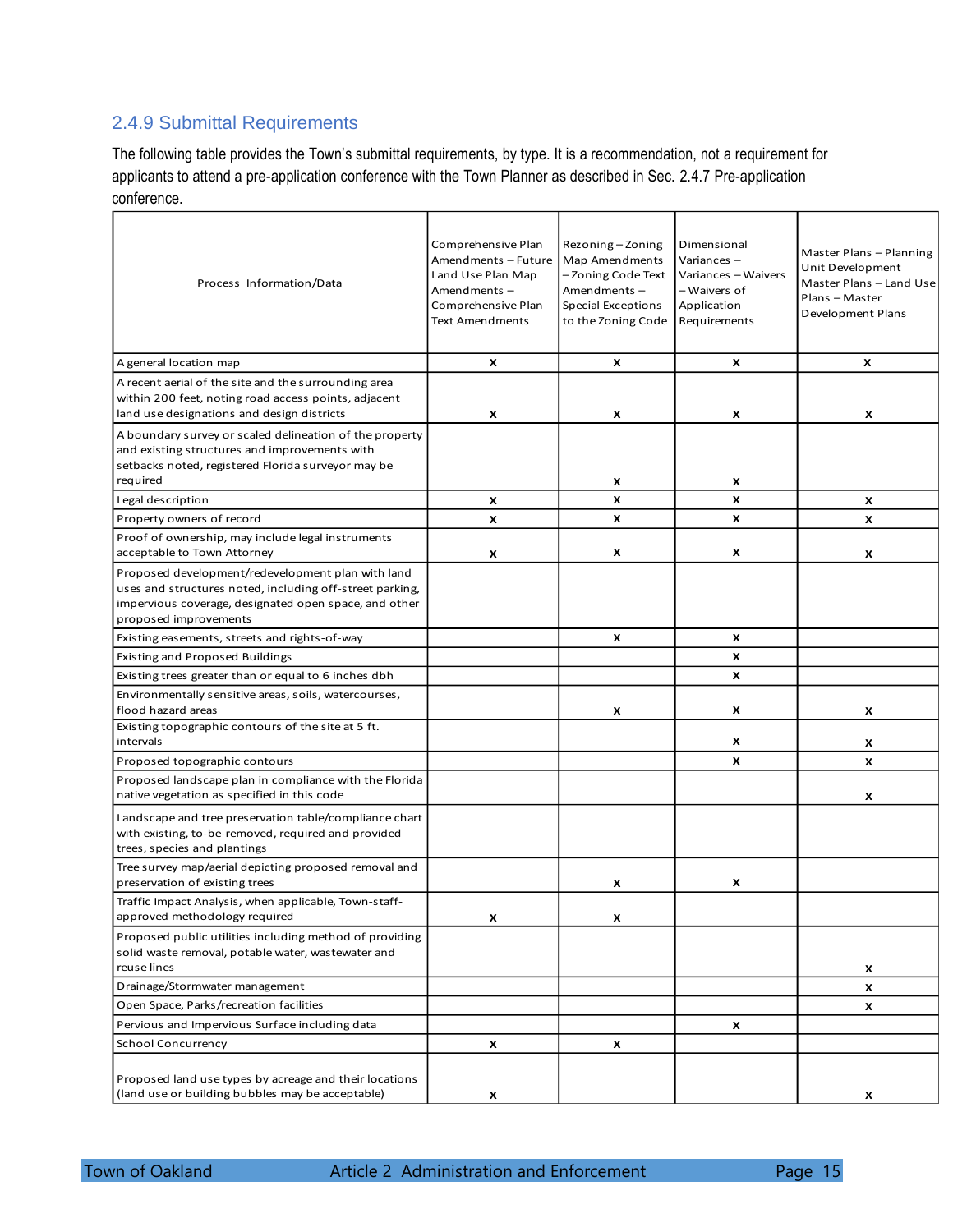## 2.4.9 Submittal Requirements

The following table provides the Town's submittal requirements, by type. It is a recommendation, not a requirement for applicants to attend a pre-application conference with the Town Planner as described in Sec. 2.4.7 Pre-application conference.

| Process Information/Data                                                                                                                                                                        | Comprehensive Plan<br>Amendments - Future<br>Land Use Plan Map<br>Amendments-<br>Comprehensive Plan<br><b>Text Amendments</b> | Rezoning-Zoning<br>Map Amendments<br>- Zoning Code Text<br>Amendments-<br><b>Special Exceptions</b><br>to the Zoning Code | Dimensional<br>Variances -<br>Variances – Waivers<br>- Waivers of<br>Application<br>Requirements | Master Plans - Planning<br>Unit Development<br>Master Plans - Land Use<br>Plans - Master<br>Development Plans |
|-------------------------------------------------------------------------------------------------------------------------------------------------------------------------------------------------|-------------------------------------------------------------------------------------------------------------------------------|---------------------------------------------------------------------------------------------------------------------------|--------------------------------------------------------------------------------------------------|---------------------------------------------------------------------------------------------------------------|
| A general location map                                                                                                                                                                          | X                                                                                                                             | x                                                                                                                         | x                                                                                                | x                                                                                                             |
| A recent aerial of the site and the surrounding area<br>within 200 feet, noting road access points, adjacent<br>land use designations and design districts                                      | x                                                                                                                             | x                                                                                                                         | X                                                                                                | X                                                                                                             |
| A boundary survey or scaled delineation of the property<br>and existing structures and improvements with<br>setbacks noted, registered Florida surveyor may be<br>required                      |                                                                                                                               | x                                                                                                                         | x                                                                                                |                                                                                                               |
| Legal description                                                                                                                                                                               | X                                                                                                                             | x                                                                                                                         | X                                                                                                | X                                                                                                             |
| Property owners of record                                                                                                                                                                       | X                                                                                                                             | X                                                                                                                         | X                                                                                                | X                                                                                                             |
| Proof of ownership, may include legal instruments<br>acceptable to Town Attorney                                                                                                                | x                                                                                                                             | X                                                                                                                         | X                                                                                                | x                                                                                                             |
| Proposed development/redevelopment plan with land<br>uses and structures noted, including off-street parking,<br>impervious coverage, designated open space, and other<br>proposed improvements |                                                                                                                               |                                                                                                                           |                                                                                                  |                                                                                                               |
| Existing easements, streets and rights-of-way                                                                                                                                                   |                                                                                                                               | x                                                                                                                         | x                                                                                                |                                                                                                               |
| <b>Existing and Proposed Buildings</b>                                                                                                                                                          |                                                                                                                               |                                                                                                                           | X                                                                                                |                                                                                                               |
| Existing trees greater than or equal to 6 inches dbh                                                                                                                                            |                                                                                                                               |                                                                                                                           | X                                                                                                |                                                                                                               |
| Environmentally sensitive areas, soils, watercourses,<br>flood hazard areas                                                                                                                     |                                                                                                                               | X                                                                                                                         | X                                                                                                | x                                                                                                             |
| Existing topographic contours of the site at 5 ft.<br>intervals                                                                                                                                 |                                                                                                                               |                                                                                                                           | X                                                                                                | x                                                                                                             |
| Proposed topographic contours                                                                                                                                                                   |                                                                                                                               |                                                                                                                           | X                                                                                                | X                                                                                                             |
| Proposed landscape plan in compliance with the Florida<br>native vegetation as specified in this code                                                                                           |                                                                                                                               |                                                                                                                           |                                                                                                  | x                                                                                                             |
| Landscape and tree preservation table/compliance chart<br>with existing, to-be-removed, required and provided<br>trees, species and plantings                                                   |                                                                                                                               |                                                                                                                           |                                                                                                  |                                                                                                               |
| Tree survey map/aerial depicting proposed removal and<br>preservation of existing trees                                                                                                         |                                                                                                                               | x                                                                                                                         | X                                                                                                |                                                                                                               |
| Traffic Impact Analysis, when applicable, Town-staff-<br>approved methodology required                                                                                                          | X                                                                                                                             | x                                                                                                                         |                                                                                                  |                                                                                                               |
| Proposed public utilities including method of providing<br>solid waste removal, potable water, wastewater and<br>reuse lines                                                                    |                                                                                                                               |                                                                                                                           |                                                                                                  | x                                                                                                             |
| Drainage/Stormwater management                                                                                                                                                                  |                                                                                                                               |                                                                                                                           |                                                                                                  | x                                                                                                             |
| Open Space, Parks/recreation facilities                                                                                                                                                         |                                                                                                                               |                                                                                                                           |                                                                                                  | x                                                                                                             |
| Pervious and Impervious Surface including data                                                                                                                                                  |                                                                                                                               |                                                                                                                           | x                                                                                                |                                                                                                               |
| School Concurrency                                                                                                                                                                              | X                                                                                                                             | x                                                                                                                         |                                                                                                  |                                                                                                               |
| Proposed land use types by acreage and their locations<br>(land use or building bubbles may be acceptable)                                                                                      | x                                                                                                                             |                                                                                                                           |                                                                                                  | x                                                                                                             |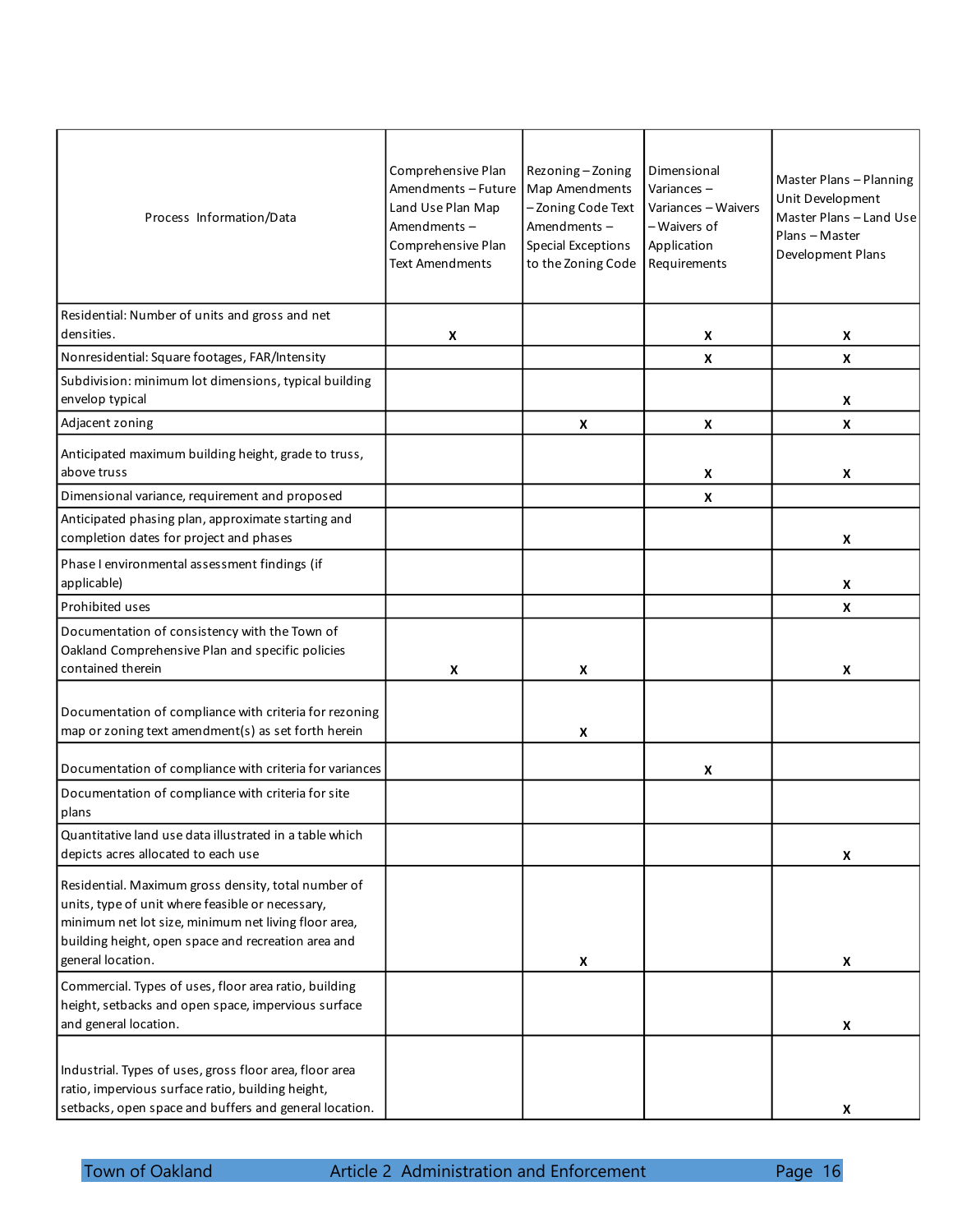| Process Information/Data                                                                                                                                                                                                                    | Comprehensive Plan<br>Amendments - Future<br>Land Use Plan Map<br>Amendments-<br>Comprehensive Plan<br><b>Text Amendments</b> | Rezoning-Zoning<br>Map Amendments<br>-Zoning Code Text<br>Amendments-<br><b>Special Exceptions</b><br>to the Zoning Code | Dimensional<br>Variances -<br>Variances - Waivers<br>- Waivers of<br>Application<br>Requirements | Master Plans - Planning<br>Unit Development<br>Master Plans - Land Use<br>Plans - Master<br>Development Plans |
|---------------------------------------------------------------------------------------------------------------------------------------------------------------------------------------------------------------------------------------------|-------------------------------------------------------------------------------------------------------------------------------|--------------------------------------------------------------------------------------------------------------------------|--------------------------------------------------------------------------------------------------|---------------------------------------------------------------------------------------------------------------|
| Residential: Number of units and gross and net<br>densities.                                                                                                                                                                                | X                                                                                                                             |                                                                                                                          | X                                                                                                | X                                                                                                             |
| Nonresidential: Square footages, FAR/Intensity                                                                                                                                                                                              |                                                                                                                               |                                                                                                                          | X                                                                                                | X                                                                                                             |
| Subdivision: minimum lot dimensions, typical building<br>envelop typical                                                                                                                                                                    |                                                                                                                               |                                                                                                                          |                                                                                                  | X                                                                                                             |
| Adjacent zoning                                                                                                                                                                                                                             |                                                                                                                               | X                                                                                                                        | X                                                                                                | X                                                                                                             |
| Anticipated maximum building height, grade to truss,<br>above truss                                                                                                                                                                         |                                                                                                                               |                                                                                                                          | X                                                                                                | X                                                                                                             |
| Dimensional variance, requirement and proposed                                                                                                                                                                                              |                                                                                                                               |                                                                                                                          | X                                                                                                |                                                                                                               |
| Anticipated phasing plan, approximate starting and<br>completion dates for project and phases                                                                                                                                               |                                                                                                                               |                                                                                                                          |                                                                                                  | X                                                                                                             |
| Phase I environmental assessment findings (if<br>applicable)                                                                                                                                                                                |                                                                                                                               |                                                                                                                          |                                                                                                  | X                                                                                                             |
| Prohibited uses                                                                                                                                                                                                                             |                                                                                                                               |                                                                                                                          |                                                                                                  | X                                                                                                             |
| Documentation of consistency with the Town of<br>Oakland Comprehensive Plan and specific policies<br>contained therein                                                                                                                      | X                                                                                                                             | X                                                                                                                        |                                                                                                  | X                                                                                                             |
| Documentation of compliance with criteria for rezoning<br>map or zoning text amendment(s) as set forth herein                                                                                                                               |                                                                                                                               | X                                                                                                                        |                                                                                                  |                                                                                                               |
| Documentation of compliance with criteria for variances                                                                                                                                                                                     |                                                                                                                               |                                                                                                                          | X                                                                                                |                                                                                                               |
| Documentation of compliance with criteria for site<br>plans                                                                                                                                                                                 |                                                                                                                               |                                                                                                                          |                                                                                                  |                                                                                                               |
| Quantitative land use data illustrated in a table which<br>depicts acres allocated to each use                                                                                                                                              |                                                                                                                               |                                                                                                                          |                                                                                                  | X                                                                                                             |
| Residential. Maximum gross density, total number of<br>units, type of unit where feasible or necessary,<br>minimum net lot size, minimum net living floor area,<br>building height, open space and recreation area and<br>general location. |                                                                                                                               | X                                                                                                                        |                                                                                                  | X                                                                                                             |
| Commercial. Types of uses, floor area ratio, building<br>height, setbacks and open space, impervious surface<br>and general location.                                                                                                       |                                                                                                                               |                                                                                                                          |                                                                                                  | X                                                                                                             |
| Industrial. Types of uses, gross floor area, floor area<br>ratio, impervious surface ratio, building height,<br>setbacks, open space and buffers and general location.                                                                      |                                                                                                                               |                                                                                                                          |                                                                                                  | X                                                                                                             |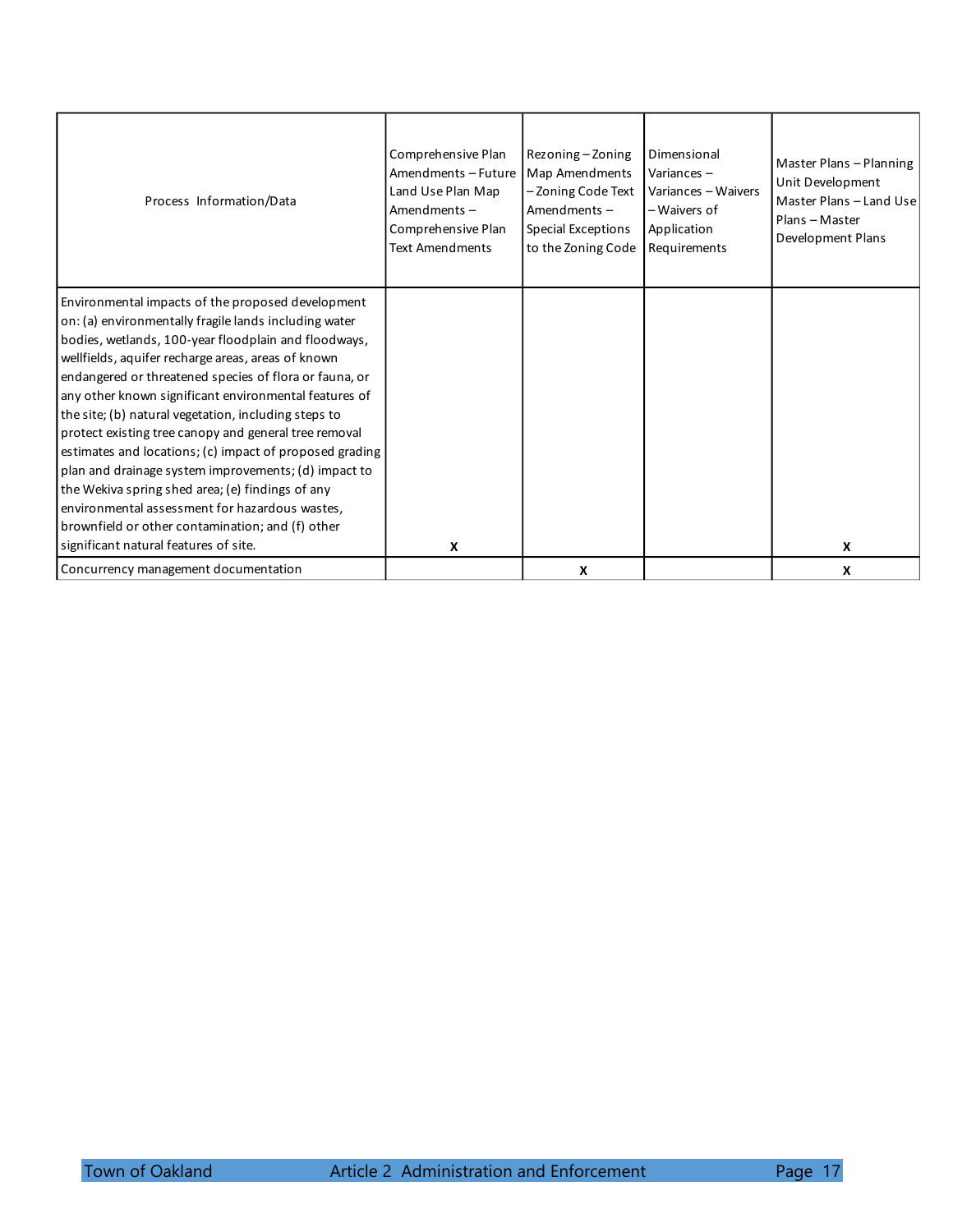| Process Information/Data                                | Comprehensive Plan<br>Amendments - Future<br>Land Use Plan Map<br>Amendments-<br>Comprehensive Plan<br><b>Text Amendments</b> | Rezoning - Zoning<br>Map Amendments<br>-Zoning Code Text<br>Amendments-<br><b>Special Exceptions</b><br>to the Zoning Code | Dimensional<br>Variances $-$<br>Variances - Waivers<br>- Waivers of<br>Application<br>Requirements | Master Plans - Planning<br>Unit Development<br>Master Plans - Land Use<br>Plans - Master<br>Development Plans |
|---------------------------------------------------------|-------------------------------------------------------------------------------------------------------------------------------|----------------------------------------------------------------------------------------------------------------------------|----------------------------------------------------------------------------------------------------|---------------------------------------------------------------------------------------------------------------|
| Environmental impacts of the proposed development       |                                                                                                                               |                                                                                                                            |                                                                                                    |                                                                                                               |
| on: (a) environmentally fragile lands including water   |                                                                                                                               |                                                                                                                            |                                                                                                    |                                                                                                               |
| bodies, wetlands, 100-year floodplain and floodways,    |                                                                                                                               |                                                                                                                            |                                                                                                    |                                                                                                               |
| wellfields, aquifer recharge areas, areas of known      |                                                                                                                               |                                                                                                                            |                                                                                                    |                                                                                                               |
| endangered or threatened species of flora or fauna, or  |                                                                                                                               |                                                                                                                            |                                                                                                    |                                                                                                               |
| any other known significant environmental features of   |                                                                                                                               |                                                                                                                            |                                                                                                    |                                                                                                               |
| the site; (b) natural vegetation, including steps to    |                                                                                                                               |                                                                                                                            |                                                                                                    |                                                                                                               |
| protect existing tree canopy and general tree removal   |                                                                                                                               |                                                                                                                            |                                                                                                    |                                                                                                               |
| estimates and locations; (c) impact of proposed grading |                                                                                                                               |                                                                                                                            |                                                                                                    |                                                                                                               |
| plan and drainage system improvements; (d) impact to    |                                                                                                                               |                                                                                                                            |                                                                                                    |                                                                                                               |
| the Wekiva spring shed area; (e) findings of any        |                                                                                                                               |                                                                                                                            |                                                                                                    |                                                                                                               |
| environmental assessment for hazardous wastes,          |                                                                                                                               |                                                                                                                            |                                                                                                    |                                                                                                               |
| brownfield or other contamination; and (f) other        |                                                                                                                               |                                                                                                                            |                                                                                                    |                                                                                                               |
| significant natural features of site.                   | X                                                                                                                             |                                                                                                                            |                                                                                                    | X                                                                                                             |
| Concurrency management documentation                    |                                                                                                                               | X                                                                                                                          |                                                                                                    | X                                                                                                             |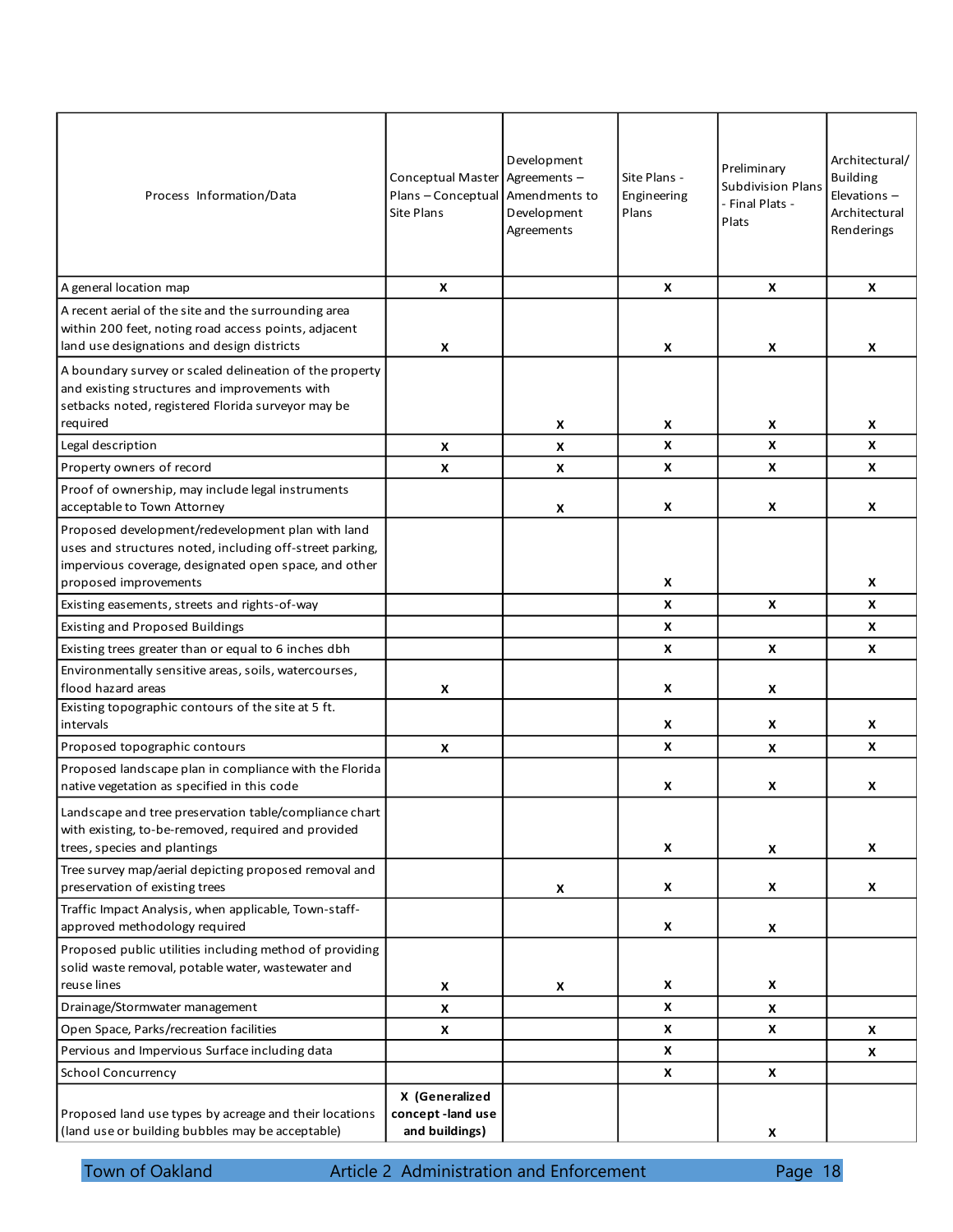| Process Information/Data                                                                                                                                                                        | Conceptual Master Agreements -<br>Plans - Conceptual Amendments to<br>Site Plans | Development<br>Development<br>Agreements | Site Plans -<br>Engineering<br>Plans | Preliminary<br><b>Subdivision Plans</b><br>- Final Plats -<br>Plats | Architectural/<br><b>Building</b><br>Elevations $-$<br>Architectural<br>Renderings |
|-------------------------------------------------------------------------------------------------------------------------------------------------------------------------------------------------|----------------------------------------------------------------------------------|------------------------------------------|--------------------------------------|---------------------------------------------------------------------|------------------------------------------------------------------------------------|
| A general location map                                                                                                                                                                          | X                                                                                |                                          | X                                    | X                                                                   | X                                                                                  |
| A recent aerial of the site and the surrounding area<br>within 200 feet, noting road access points, adjacent<br>land use designations and design districts                                      | X                                                                                |                                          | X                                    | X                                                                   | X                                                                                  |
| A boundary survey or scaled delineation of the property<br>and existing structures and improvements with<br>setbacks noted, registered Florida surveyor may be<br>required                      |                                                                                  | X                                        | X                                    | X                                                                   | X                                                                                  |
| Legal description                                                                                                                                                                               | X                                                                                | X                                        | X                                    | X                                                                   | X                                                                                  |
| Property owners of record                                                                                                                                                                       | X                                                                                | X                                        | X                                    | X                                                                   | X                                                                                  |
| Proof of ownership, may include legal instruments                                                                                                                                               |                                                                                  |                                          |                                      |                                                                     |                                                                                    |
| acceptable to Town Attorney                                                                                                                                                                     |                                                                                  | X                                        | X                                    | X                                                                   | x                                                                                  |
| Proposed development/redevelopment plan with land<br>uses and structures noted, including off-street parking,<br>impervious coverage, designated open space, and other<br>proposed improvements |                                                                                  |                                          | X                                    |                                                                     | X                                                                                  |
|                                                                                                                                                                                                 |                                                                                  |                                          | X                                    | X                                                                   | X                                                                                  |
| Existing easements, streets and rights-of-way<br><b>Existing and Proposed Buildings</b>                                                                                                         |                                                                                  |                                          | X                                    |                                                                     | X                                                                                  |
| Existing trees greater than or equal to 6 inches dbh                                                                                                                                            |                                                                                  |                                          | $\boldsymbol{x}$                     | X                                                                   | X                                                                                  |
| Environmentally sensitive areas, soils, watercourses,<br>flood hazard areas                                                                                                                     | X                                                                                |                                          | X                                    | X                                                                   |                                                                                    |
| Existing topographic contours of the site at 5 ft.<br>intervals                                                                                                                                 |                                                                                  |                                          | X                                    | X                                                                   | X                                                                                  |
| Proposed topographic contours                                                                                                                                                                   | X                                                                                |                                          | X                                    | X                                                                   | X                                                                                  |
| Proposed landscape plan in compliance with the Florida<br>native vegetation as specified in this code                                                                                           |                                                                                  |                                          | X                                    | X                                                                   | X                                                                                  |
| Landscape and tree preservation table/compliance chart<br>with existing, to-be-removed, required and provided<br>trees, species and plantings                                                   |                                                                                  |                                          | X                                    | X                                                                   | X                                                                                  |
| Tree survey map/aerial depicting proposed removal and<br>preservation of existing trees                                                                                                         |                                                                                  | X                                        | X                                    | X                                                                   | X                                                                                  |
| Traffic Impact Analysis, when applicable, Town-staff-<br>approved methodology required                                                                                                          |                                                                                  |                                          | X                                    | X                                                                   |                                                                                    |
| Proposed public utilities including method of providing<br>solid waste removal, potable water, wastewater and<br>reuse lines                                                                    |                                                                                  |                                          | X                                    | X                                                                   |                                                                                    |
|                                                                                                                                                                                                 | X                                                                                | X                                        | $\boldsymbol{x}$                     |                                                                     |                                                                                    |
| Drainage/Stormwater management<br>Open Space, Parks/recreation facilities                                                                                                                       | X                                                                                |                                          | X                                    | X<br>X                                                              |                                                                                    |
|                                                                                                                                                                                                 | X                                                                                |                                          | $\boldsymbol{x}$                     |                                                                     | X                                                                                  |
| Pervious and Impervious Surface including data                                                                                                                                                  |                                                                                  |                                          |                                      |                                                                     | X                                                                                  |
| <b>School Concurrency</b><br>Proposed land use types by acreage and their locations<br>(land use or building bubbles may be acceptable)                                                         | X (Generalized<br>concept-land use<br>and buildings)                             |                                          | X                                    | X<br>X                                                              |                                                                                    |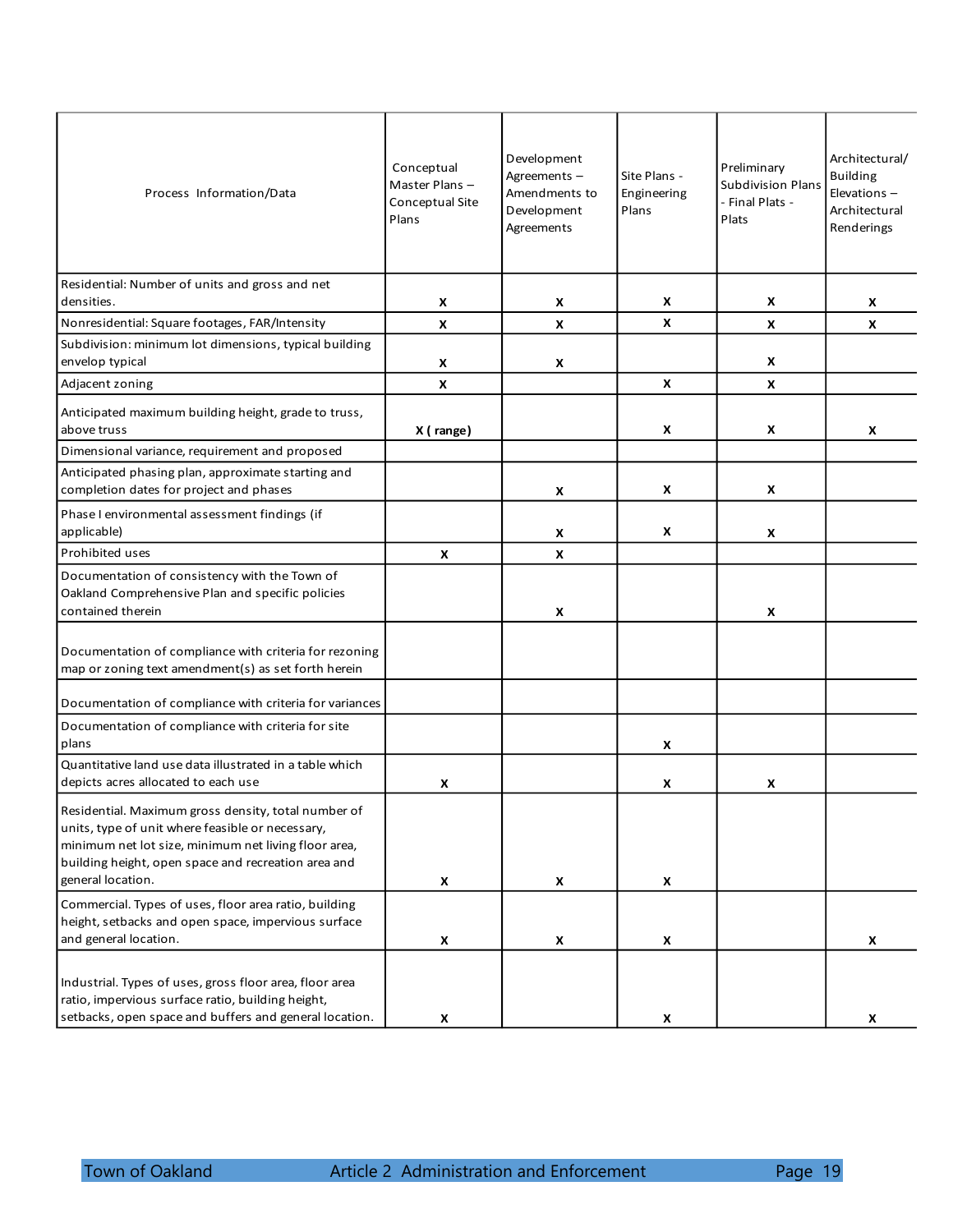| Process Information/Data                                                                                                                                                                                                                    | Conceptual<br>Master Plans-<br>Conceptual Site<br>Plans | Development<br>Agreements -<br>Amendments to<br>Development<br>Agreements | Site Plans -<br>Engineering<br>Plans | Preliminary<br><b>Subdivision Plans</b><br>- Final Plats -<br>Plats | Architectural/<br><b>Building</b><br>Elevations-<br>Architectural<br>Renderings |
|---------------------------------------------------------------------------------------------------------------------------------------------------------------------------------------------------------------------------------------------|---------------------------------------------------------|---------------------------------------------------------------------------|--------------------------------------|---------------------------------------------------------------------|---------------------------------------------------------------------------------|
| Residential: Number of units and gross and net                                                                                                                                                                                              |                                                         |                                                                           |                                      |                                                                     |                                                                                 |
| densities.                                                                                                                                                                                                                                  | X                                                       | X                                                                         | X<br>X                               | X                                                                   | X                                                                               |
| Nonresidential: Square footages, FAR/Intensity                                                                                                                                                                                              | $\boldsymbol{x}$                                        | X                                                                         |                                      | X                                                                   | $\mathsf{x}$                                                                    |
| Subdivision: minimum lot dimensions, typical building<br>envelop typical                                                                                                                                                                    | X                                                       | X                                                                         |                                      | X                                                                   |                                                                                 |
| Adjacent zoning                                                                                                                                                                                                                             | $\boldsymbol{\mathsf{x}}$                               |                                                                           | X                                    | X                                                                   |                                                                                 |
|                                                                                                                                                                                                                                             |                                                         |                                                                           |                                      |                                                                     |                                                                                 |
| Anticipated maximum building height, grade to truss,<br>above truss                                                                                                                                                                         | X (range)                                               |                                                                           | X                                    | $\boldsymbol{x}$                                                    | X                                                                               |
| Dimensional variance, requirement and proposed                                                                                                                                                                                              |                                                         |                                                                           |                                      |                                                                     |                                                                                 |
| Anticipated phasing plan, approximate starting and<br>completion dates for project and phases                                                                                                                                               |                                                         | X                                                                         | X                                    | x                                                                   |                                                                                 |
| Phase I environmental assessment findings (if<br>applicable)                                                                                                                                                                                |                                                         | X                                                                         | X                                    | X                                                                   |                                                                                 |
| Prohibited uses                                                                                                                                                                                                                             | X                                                       | X                                                                         |                                      |                                                                     |                                                                                 |
| Documentation of consistency with the Town of<br>Oakland Comprehensive Plan and specific policies<br>contained therein                                                                                                                      |                                                         | X                                                                         |                                      | X                                                                   |                                                                                 |
| Documentation of compliance with criteria for rezoning<br>map or zoning text amendment(s) as set forth herein                                                                                                                               |                                                         |                                                                           |                                      |                                                                     |                                                                                 |
| Documentation of compliance with criteria for variances                                                                                                                                                                                     |                                                         |                                                                           |                                      |                                                                     |                                                                                 |
| Documentation of compliance with criteria for site<br>plans                                                                                                                                                                                 |                                                         |                                                                           | X                                    |                                                                     |                                                                                 |
| Quantitative land use data illustrated in a table which<br>depicts acres allocated to each use                                                                                                                                              | X                                                       |                                                                           | X                                    | X                                                                   |                                                                                 |
| Residential. Maximum gross density, total number of<br>units, type of unit where feasible or necessary,<br>minimum net lot size, minimum net living floor area,<br>building height, open space and recreation area and<br>general location. | X                                                       | X                                                                         | X                                    |                                                                     |                                                                                 |
| Commercial. Types of uses, floor area ratio, building<br>height, setbacks and open space, impervious surface<br>and general location.                                                                                                       | X                                                       | X                                                                         | X                                    |                                                                     | x                                                                               |
| Industrial. Types of uses, gross floor area, floor area<br>ratio, impervious surface ratio, building height,<br>setbacks, open space and buffers and general location.                                                                      | X                                                       |                                                                           | X                                    |                                                                     | x                                                                               |